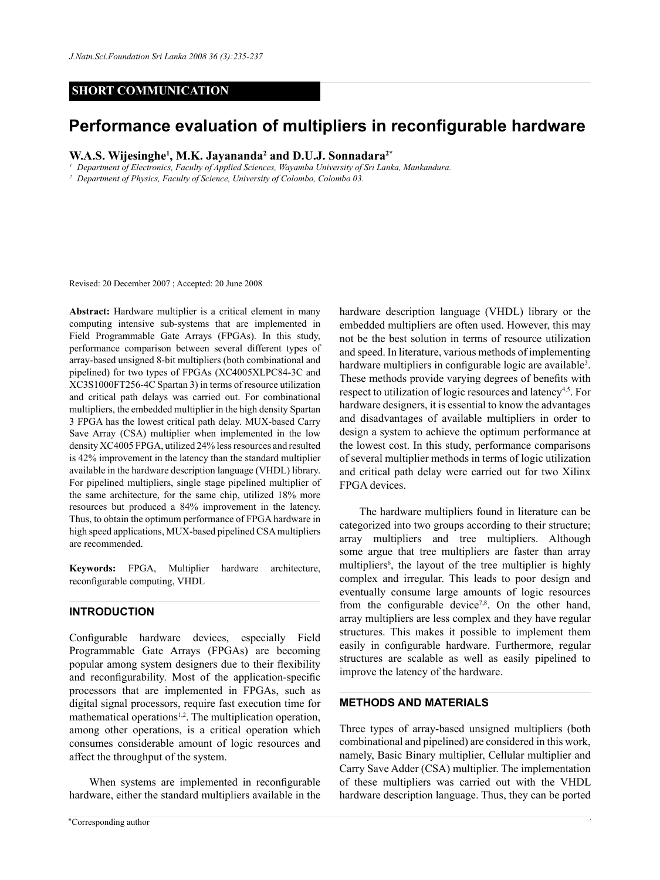# **SHORT COMMUNICATION**

# **Performance evaluation of multipliers in reconfigurable hardware**

**W.A.S. Wijesinghe<sup>1</sup> , M.K. Jayananda<sup>2</sup> and D.U.J. Sonnadara2\***

*<sup>1</sup> Department of Electronics, Faculty of Applied Sciences, Wayamba University of Sri Lanka, Mankandura.*

*<sup>2</sup> Department of Physics, Faculty of Science, University of Colombo, Colombo 03.*

Revised: 20 December 2007 ; Accepted: 20 June 2008

**Abstract:** Hardware multiplier is a critical element in many computing intensive sub-systems that are implemented in Field Programmable Gate Arrays (FPGAs). In this study, performance comparison between several different types of array-based unsigned 8-bit multipliers (both combinational and pipelined) for two types of FPGAs (XC4005XLPC84-3C and XC3S1000FT256-4C Spartan 3) in terms of resource utilization and critical path delays was carried out. For combinational multipliers, the embedded multiplier in the high density Spartan 3 FPGA has the lowest critical path delay. MUX-based Carry Save Array (CSA) multiplier when implemented in the low density XC4005 FPGA, utilized 24% less resources and resulted is 42% improvement in the latency than the standard multiplier available in the hardware description language (VHDL) library. For pipelined multipliers, single stage pipelined multiplier of the same architecture, for the same chip, utilized 18% more resources but produced a 84% improvement in the latency. Thus, to obtain the optimum performance of FPGA hardware in high speed applications, MUX-based pipelined CSA multipliers are recommended.

**Keywords:** FPGA, Multiplier hardware architecture, reconfigurable computing, VHDL

# **Introduction**

Configurable hardware devices, especially Field Programmable Gate Arrays (FPGAs) are becoming popular among system designers due to their flexibility and reconfigurability. Most of the application-specific processors that are implemented in FPGAs, such as digital signal processors, require fast execution time for mathematical operations<sup>1,2</sup>. The multiplication operation, among other operations, is a critical operation which consumes considerable amount of logic resources and affect the throughput of the system.

When systems are implemented in reconfigurable hardware, either the standard multipliers available in the hardware description language (VHDL) library or the embedded multipliers are often used. However, this may not be the best solution in terms of resource utilization and speed. In literature, various methods of implementing hardware multipliers in configurable logic are available<sup>3</sup>. These methods provide varying degrees of benefits with respect to utilization of logic resources and latency<sup>4,5</sup>. For hardware designers, it is essential to know the advantages and disadvantages of available multipliers in order to design a system to achieve the optimum performance at the lowest cost. In this study, performance comparisons of several multiplier methods in terms of logic utilization and critical path delay were carried out for two Xilinx FPGA devices.

The hardware multipliers found in literature can be categorized into two groups according to their structure; array multipliers and tree multipliers. Although some argue that tree multipliers are faster than array multipliers<sup>6</sup>, the layout of the tree multiplier is highly complex and irregular. This leads to poor design and eventually consume large amounts of logic resources from the configurable device<sup>7,8</sup>. On the other hand, array multipliers are less complex and they have regular structures. This makes it possible to implement them easily in configurable hardware. Furthermore, regular structures are scalable as well as easily pipelined to improve the latency of the hardware.

### **Methods and materials**

Three types of array-based unsigned multipliers (both combinational and pipelined) are considered in this work, namely, Basic Binary multiplier, Cellular multiplier and Carry Save Adder (CSA) multiplier. The implementation of these multipliers was carried out with the VHDL hardware description language. Thus, they can be ported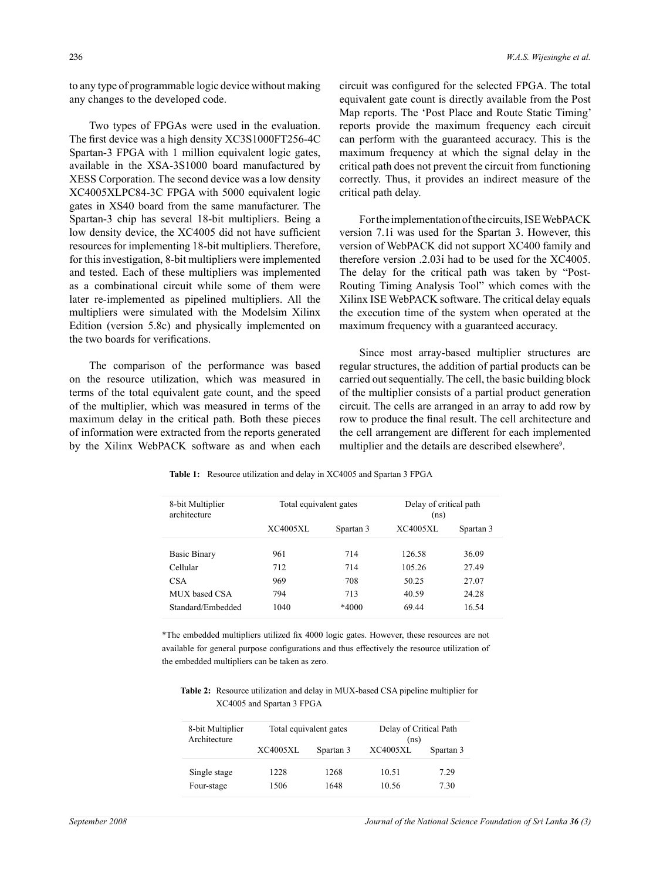to any type of programmable logic device without making any changes to the developed code.

Two types of FPGAs were used in the evaluation. The first device was a high density XC3S1000FT256-4C Spartan-3 FPGA with 1 million equivalent logic gates, available in the XSA-3S1000 board manufactured by XESS Corporation. The second device was a low density XC4005XLPC84-3C FPGA with 5000 equivalent logic gates in XS40 board from the same manufacturer. The Spartan-3 chip has several 18-bit multipliers. Being a low density device, the XC4005 did not have sufficient resources for implementing 18-bit multipliers. Therefore, for this investigation, 8-bit multipliers were implemented and tested. Each of these multipliers was implemented as a combinational circuit while some of them were later re-implemented as pipelined multipliers. All the multipliers were simulated with the Modelsim Xilinx Edition (version 5.8c) and physically implemented on the two boards for verifications.

The comparison of the performance was based on the resource utilization, which was measured in terms of the total equivalent gate count, and the speed of the multiplier, which was measured in terms of the maximum delay in the critical path. Both these pieces of information were extracted from the reports generated by the Xilinx WebPACK software as and when each circuit was configured for the selected FPGA. The total equivalent gate count is directly available from the Post Map reports. The 'Post Place and Route Static Timing' reports provide the maximum frequency each circuit can perform with the guaranteed accuracy. This is the maximum frequency at which the signal delay in the critical path does not prevent the circuit from functioning correctly. Thus, it provides an indirect measure of the critical path delay.

For the implementation of the circuits, ISE WebPACK version 7.1i was used for the Spartan 3. However, this version of WebPACK did not support XC400 family and therefore version .2.03i had to be used for the XC4005. The delay for the critical path was taken by "Post-Routing Timing Analysis Tool" which comes with the Xilinx ISE WebPACK software. The critical delay equals the execution time of the system when operated at the maximum frequency with a guaranteed accuracy.

Since most array-based multiplier structures are regular structures, the addition of partial products can be carried out sequentially. The cell, the basic building block of the multiplier consists of a partial product generation circuit. The cells are arranged in an array to add row by row to produce the final result. The cell architecture and the cell arrangement are different for each implemented multiplier and the details are described elsewhere<sup>9</sup>.

| 8-bit Multiplier<br>architecture | Total equivalent gates |           | Delay of critical path<br>(ns) |           |
|----------------------------------|------------------------|-----------|--------------------------------|-----------|
|                                  | XC4005XL               | Spartan 3 | XC4005XL                       | Spartan 3 |
| Basic Binary                     | 961                    | 714       | 126.58                         | 36.09     |
| Cellular                         | 712                    | 714       | 105.26                         | 27.49     |
| <b>CSA</b>                       | 969                    | 708       | 50.25                          | 27.07     |
| MUX based CSA                    | 794                    | 713       | 40.59                          | 24.28     |
| Standard/Embedded                | 1040                   | *4000     | 6944                           | 16.54     |

Table 1: Resource utilization and delay in XC4005 and Spartan 3 FPGA

\*The embedded multipliers utilized fix 4000 logic gates. However, these resources are not available for general purpose configurations and thus effectively the resource utilization of the embedded multipliers can be taken as zero.

**Table 2:** Resource utilization and delay in MUX-based CSA pipeline multiplier for XC4005 and Spartan 3 FPGA

| 8-bit Multiplier<br>Architecture | Total equivalent gates |              | Delay of Critical Path<br>(ns) |              |
|----------------------------------|------------------------|--------------|--------------------------------|--------------|
|                                  | <b>XC4005XL</b>        | Spartan 3    | <b>XC4005XL</b>                | Spartan 3    |
| Single stage<br>Four-stage       | 1228<br>1506           | 1268<br>1648 | 10.51<br>10.56                 | 7.29<br>7 30 |